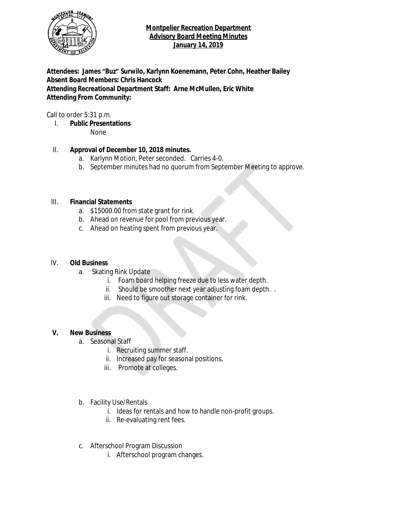

## **Montpelier Recreation Department Advisory Board Meeting Minutes January 14, 2019**

**Attendees: James "Buz" Surwilo, Karlynn Koenemann, Peter Cohn, Heather Bailey Absent Board Members: Chris Hancock Attending Recreational Department Staff: Arne McMullen, Eric White Attending From Community:**

Call to order 5:31 p.m.

I. **Public Presentations**

None

## II. **Approval of December 10, 2018 minutes.**

- a. Karlynn Motion, Peter seconded. Carries 4-0.
- b. September minutes had no quorum from September Meeting to approve.

#### III. **Financial Statements**

- a. \$15000.00 from state grant for rink.
- b. Ahead on revenue for pool from previous year.
- c. Ahead on heating spent from previous year.

#### IV. **Old Business**

- a. Skating Rink Update
	- i. Foam board helping freeze due to less water depth.
	- ii. Should be smoother next year adjusting foam depth. .
	- iii. Need to figure out storage container for rink.

#### **V. New Business**

- a. Seasonal Staff
	- i. Recruiting summer staff.
	- ii. Increased pay for seasonal positions.
	- iii. Promote at colleges.
- b. Facility Use/Rentals
	- i. Ideas for rentals and how to handle non-profit groups.
	- ii. Re-evaluating rent fees.
- c. Afterschool Program Discussion
	- i. Afterschool program changes.